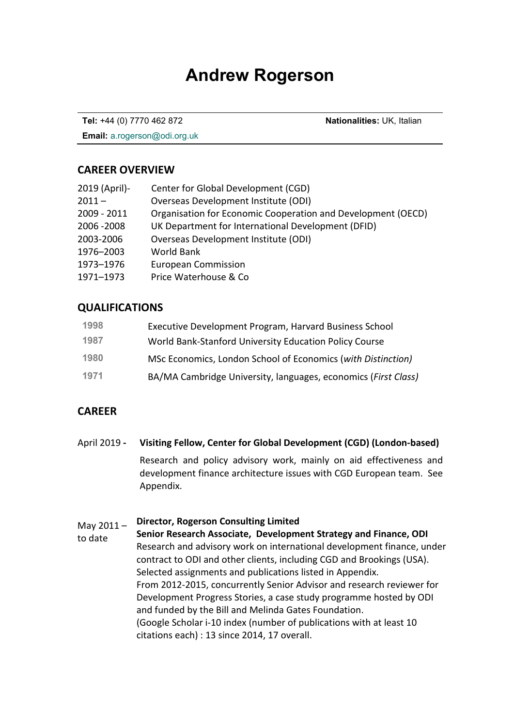# **Andrew Rogerson**

**Tel:** +44 (0) 7770 462 872 **Nationalities:** UK, Italian

**Email:** a.rogerson@odi.org.uk

#### **CAREER OVERVIEW**

| 2019 (April)- | Center for Global Development (CGD)                          |
|---------------|--------------------------------------------------------------|
| $2011 -$      | Overseas Development Institute (ODI)                         |
| 2009 - 2011   | Organisation for Economic Cooperation and Development (OECD) |
| 2006 - 2008   | UK Department for International Development (DFID)           |
| 2003-2006     | Overseas Development Institute (ODI)                         |
| 1976-2003     | <b>World Bank</b>                                            |
| 1973-1976     | <b>European Commission</b>                                   |
| 1971-1973     | Price Waterhouse & Co                                        |
|               |                                                              |

### **QUALIFICATIONS**

| 1998 | Executive Development Program, Harvard Business School         |
|------|----------------------------------------------------------------|
| 1987 | World Bank-Stanford University Education Policy Course         |
| 1980 | MSc Economics, London School of Economics (with Distinction)   |
| 1971 | BA/MA Cambridge University, languages, economics (First Class) |

## **CAREER**

April 2019 **- Visiting Fellow, Center for Global Development (CGD) (London-based)** Research and policy advisory work, mainly on aid effectiveness and development finance architecture issues with CGD European team.See Appendix.

#### May  $2011 -$ **Director, Rogerson Consulting Limited**

to date **Senior Research Associate, Development Strategy and Finance, ODI** Research and advisory work on international development finance, under contract to ODI and other clients, including CGD and Brookings (USA). Selected assignments and publications listed in Appendix. From 2012-2015, concurrently Senior Advisor and research reviewer for Development Progress Stories, a case study programme hosted by ODI and funded by the Bill and Melinda Gates Foundation. (Google Scholar i-10 index (number of publications with at least 10 citations each) : 13 since 2014, 17 overall.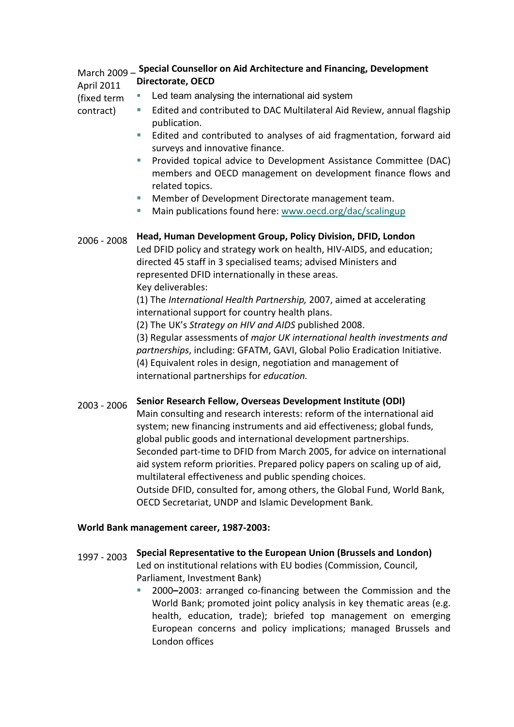#### March 2009 – **Special Counsellor on Aid Architecture and Financing, Development**  April 2011 **Directorate, OECD**

- (fixed term contract)
- Led team analysing the international aid system
- Edited and contributed to DAC Multilateral Aid Review, annual flagship publication.
	- Edited and contributed to analyses of aid fragmentation, forward aid surveys and innovative finance.
	- **Provided topical advice to Development Assistance Committee (DAC)** members and OECD management on development finance flows and related topics.
	- Member of Development Directorate management team.
	- Main publications found here: [www.oecd.org/dac/scalingup](http://www.oecd.org/dac/scalingup)

# 2006 - 2008 **Head, Human Development Group, Policy Division, DFID, London**

Led DFID policy and strategy work on health, HIV-AIDS, and education; directed 45 staff in 3 specialised teams; advised Ministers and represented DFID internationally in these areas. Key deliverables:

(1) The *International Health Partnership,* 2007, aimed at accelerating international support for country health plans.

(2) The UK's *Strategy on HIV and AIDS* published 2008.

(3) Regular assessments of *major UK international health investments and partnerships*, including: GFATM, GAVI, Global Polio Eradication Initiative. (4) Equivalent roles in design, negotiation and management of international partnerships for *education.*

# 2003 - 2006 **Senior Research Fellow, Overseas Development Institute (ODI)**

Main consulting and research interests: reform of the international aid system; new financing instruments and aid effectiveness; global funds, global public goods and international development partnerships. Seconded part-time to DFID from March 2005, for advice on international aid system reform priorities. Prepared policy papers on scaling up of aid, multilateral effectiveness and public spending choices. Outside DFID, consulted for, among others, the Global Fund, World Bank, OECD Secretariat, UNDP and Islamic Development Bank.

#### **World Bank management career, 1987-2003:**

- 1997 2003 **Special Representative to the European Union (Brussels and London)** Led on institutional relations with EU bodies (Commission, Council, Parliament, Investment Bank)
	- 2000**–**2003: arranged co-financing between the Commission and the World Bank; promoted joint policy analysis in key thematic areas (e.g. health, education, trade); briefed top management on emerging European concerns and policy implications; managed Brussels and London offices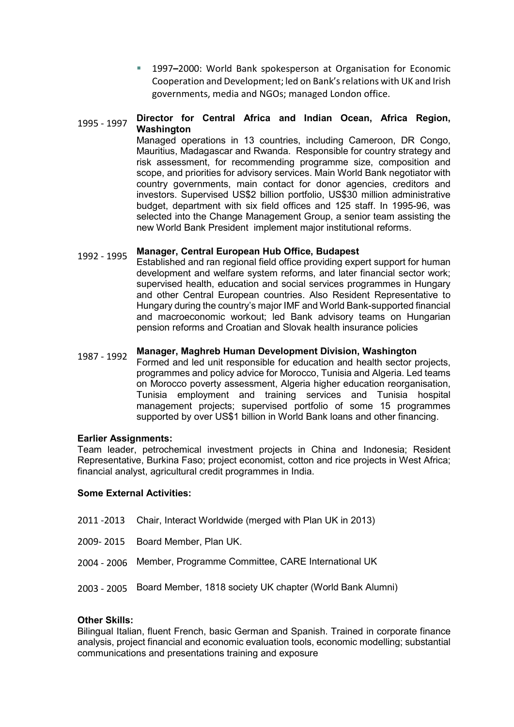1997**–**2000: World Bank spokesperson at Organisation for Economic Cooperation and Development; led on Bank's relations with UK and Irish governments, media and NGOs; managed London office.

#### 1995 - 1997 **Director for Central Africa and Indian Ocean, Africa Region, Washington**

Managed operations in 13 countries, including Cameroon, DR Congo, Mauritius, Madagascar and Rwanda. Responsible for country strategy and risk assessment, for recommending programme size, composition and scope, and priorities for advisory services. Main World Bank negotiator with country governments, main contact for donor agencies, creditors and investors. Supervised US\$2 billion portfolio, US\$30 million administrative budget, department with six field offices and 125 staff. In 1995-96, was selected into the Change Management Group, a senior team assisting the new World Bank President implement major institutional reforms.

# 1992 - 1995 **Manager, Central European Hub Office, Budapest**

Established and ran regional field office providing expert support for human development and welfare system reforms, and later financial sector work; supervised health, education and social services programmes in Hungary and other Central European countries. Also Resident Representative to Hungary during the country's major IMF and World Bank-supported financial and macroeconomic workout; led Bank advisory teams on Hungarian pension reforms and Croatian and Slovak health insurance policies

### 1987 - 1992 **Manager, Maghreb Human Development Division, Washington**

Formed and led unit responsible for education and health sector projects, programmes and policy advice for Morocco, Tunisia and Algeria. Led teams on Morocco poverty assessment, Algeria higher education reorganisation, Tunisia employment and training services and Tunisia hospital management projects; supervised portfolio of some 15 programmes supported by over US\$1 billion in World Bank loans and other financing.

#### **Earlier Assignments:**

Team leader, petrochemical investment projects in China and Indonesia; Resident Representative, Burkina Faso; project economist, cotton and rice projects in West Africa; financial analyst, agricultural credit programmes in India.

#### **Some External Activities:**

- 2011 -2013 Chair, Interact Worldwide (merged with Plan UK in 2013)
- 2009- 2015 Board Member, Plan UK.
- 2004 2006 Member, Programme Committee, CARE International UK
- 2003 2005 Board Member, 1818 society UK chapter (World Bank Alumni)

#### **Other Skills:**

Bilingual Italian, fluent French, basic German and Spanish. Trained in corporate finance analysis, project financial and economic evaluation tools, economic modelling; substantial communications and presentations training and exposure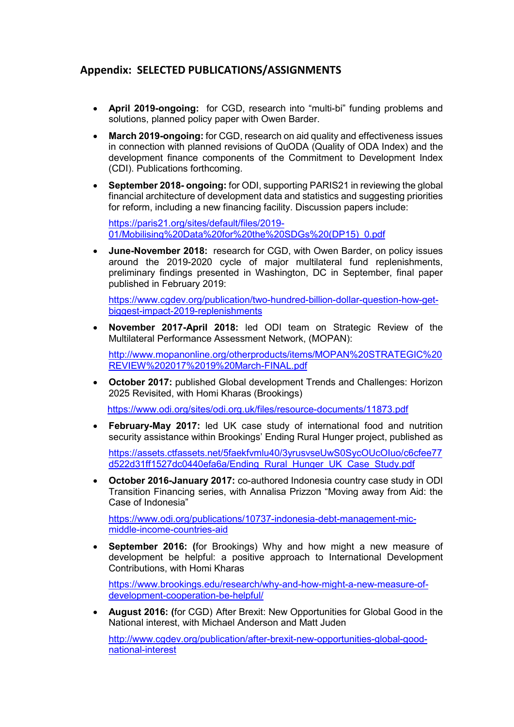### **Appendix: SELECTED PUBLICATIONS/ASSIGNMENTS**

- **April 2019-ongoing:** for CGD, research into "multi-bi" funding problems and solutions, planned policy paper with Owen Barder.
- **March 2019-ongoing:** for CGD, research on aid quality and effectiveness issues in connection with planned revisions of QuODA (Quality of ODA Index) and the development finance components of the Commitment to Development Index (CDI). Publications forthcoming.
- **September 2018- ongoing:** for ODI, supporting PARIS21 in reviewing the global financial architecture of development data and statistics and suggesting priorities for reform, including a new financing facility. Discussion papers include:

[https://paris21.org/sites/default/files/2019-](https://paris21.org/sites/default/files/2019-01/Mobilising%20Data%20for%20the%20SDGs%20(DP15)_0.pdf) [01/Mobilising%20Data%20for%20the%20SDGs%20\(DP15\)\\_0.pdf](https://paris21.org/sites/default/files/2019-01/Mobilising%20Data%20for%20the%20SDGs%20(DP15)_0.pdf)

• **June-November 2018:** research for CGD, with Owen Barder, on policy issues around the 2019-2020 cycle of major multilateral fund replenishments, preliminary findings presented in Washington, DC in September, final paper published in February 2019:

[https://www.cgdev.org/publication/two-hundred-billion-dollar-question-how-get](https://www.cgdev.org/publication/two-hundred-billion-dollar-question-how-get-biggest-impact-2019-replenishments)[biggest-impact-2019-replenishments](https://www.cgdev.org/publication/two-hundred-billion-dollar-question-how-get-biggest-impact-2019-replenishments)

• **November 2017-April 2018:** led ODI team on Strategic Review of the Multilateral Performance Assessment Network, (MOPAN):

[http://www.mopanonline.org/otherproducts/items/MOPAN%20STRATEGIC%20](http://www.mopanonline.org/otherproducts/items/MOPAN%20STRATEGIC%20REVIEW%202017%2019%20March-FINAL.pdf) [REVIEW%202017%2019%20March-FINAL.pdf](http://www.mopanonline.org/otherproducts/items/MOPAN%20STRATEGIC%20REVIEW%202017%2019%20March-FINAL.pdf)

• **October 2017:** published Global development Trends and Challenges: Horizon 2025 Revisited, with Homi Kharas (Brookings)

<https://www.odi.org/sites/odi.org.uk/files/resource-documents/11873.pdf>

• **February-May 2017:** led UK case study of international food and nutrition security assistance within Brookings' Ending Rural Hunger project, published as

[https://assets.ctfassets.net/5faekfvmlu40/3yrusvseUwS0SycOUcOIuo/c6cfee77](https://assets.ctfassets.net/5faekfvmlu40/3yrusvseUwS0SycOUcOIuo/c6cfee77d522d31ff1527dc0440efa6a/Ending_Rural_Hunger_UK_Case_Study.pdf) [d522d31ff1527dc0440efa6a/Ending\\_Rural\\_Hunger\\_UK\\_Case\\_Study.pdf](https://assets.ctfassets.net/5faekfvmlu40/3yrusvseUwS0SycOUcOIuo/c6cfee77d522d31ff1527dc0440efa6a/Ending_Rural_Hunger_UK_Case_Study.pdf)

• **October 2016-January 2017:** co-authored Indonesia country case study in ODI Transition Financing series, with Annalisa Prizzon "Moving away from Aid: the Case of Indonesia"

[https://www.odi.org/publications/10737-indonesia-debt-management-mic](https://www.odi.org/publications/10737-indonesia-debt-management-mic-middle-income-countries-aid)[middle-income-countries-aid](https://www.odi.org/publications/10737-indonesia-debt-management-mic-middle-income-countries-aid)

• **September 2016: (**for Brookings) Why and how might a new measure of development be helpful: a positive approach to International Development Contributions, with Homi Kharas

[https://www.brookings.edu/research/why-and-how-might-a-new-measure-of](https://www.brookings.edu/research/why-and-how-might-a-new-measure-of-development-cooperation-be-helpful/)[development-cooperation-be-helpful/](https://www.brookings.edu/research/why-and-how-might-a-new-measure-of-development-cooperation-be-helpful/)

• **August 2016: (**for CGD) After Brexit: New Opportunities for Global Good in the National interest, with Michael Anderson and Matt Juden

[http://www.cgdev.org/publication/after-brexit-new-opportunities-global-good](http://www.cgdev.org/publication/after-brexit-new-opportunities-global-good-national-interest)[national-interest](http://www.cgdev.org/publication/after-brexit-new-opportunities-global-good-national-interest)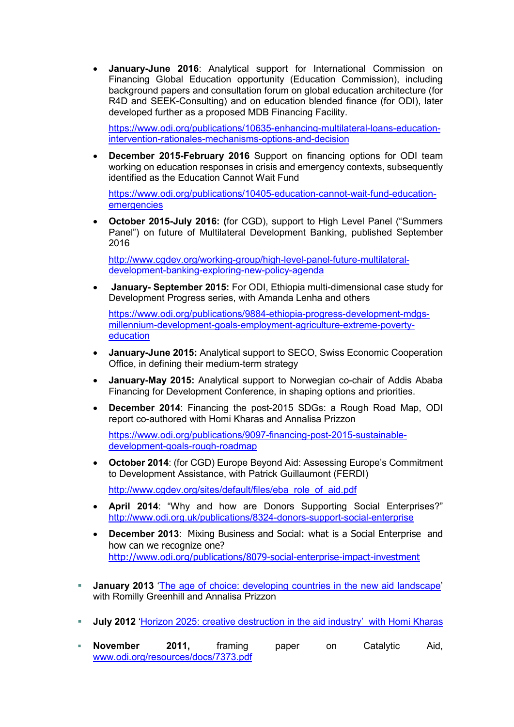• **January-June 2016**: Analytical support for International Commission on Financing Global Education opportunity (Education Commission), including background papers and consultation forum on global education architecture (for R4D and SEEK-Consulting) and on education blended finance (for ODI), later developed further as a proposed MDB Financing Facility.

[https://www.odi.org/publications/10635-enhancing-multilateral-loans-education](https://www.odi.org/publications/10635-enhancing-multilateral-loans-education-intervention-rationales-mechanisms-options-and-decision)[intervention-rationales-mechanisms-options-and-decision](https://www.odi.org/publications/10635-enhancing-multilateral-loans-education-intervention-rationales-mechanisms-options-and-decision)

• **December 2015-February 2016** Support on financing options for ODI team working on education responses in crisis and emergency contexts, subsequently identified as the Education Cannot Wait Fund

[https://www.odi.org/publications/10405-education-cannot-wait-fund-education](https://www.odi.org/publications/10405-education-cannot-wait-fund-education-emergencies)[emergencies](https://www.odi.org/publications/10405-education-cannot-wait-fund-education-emergencies)

• **October 2015-July 2016: (**for CGD), support to High Level Panel ("Summers Panel") on future of Multilateral Development Banking, published September 2016

[http://www.cgdev.org/working-group/high-level-panel-future-multilateral](http://www.cgdev.org/working-group/high-level-panel-future-multilateral-development-banking-exploring-new-policy-agenda)[development-banking-exploring-new-policy-agenda](http://www.cgdev.org/working-group/high-level-panel-future-multilateral-development-banking-exploring-new-policy-agenda)

• **January- September 2015:** For ODI, Ethiopia multi-dimensional case study for Development Progress series, with Amanda Lenha and others

[https://www.odi.org/publications/9884-ethiopia-progress-development-mdgs](https://www.odi.org/publications/9884-ethiopia-progress-development-mdgs-millennium-development-goals-employment-agriculture-extreme-poverty-education)[millennium-development-goals-employment-agriculture-extreme-poverty](https://www.odi.org/publications/9884-ethiopia-progress-development-mdgs-millennium-development-goals-employment-agriculture-extreme-poverty-education)[education](https://www.odi.org/publications/9884-ethiopia-progress-development-mdgs-millennium-development-goals-employment-agriculture-extreme-poverty-education)

- **January-June 2015:** Analytical support to SECO, Swiss Economic Cooperation Office, in defining their medium-term strategy
- **January-May 2015:** Analytical support to Norwegian co-chair of Addis Ababa Financing for Development Conference, in shaping options and priorities.
- **December 2014**: Financing the post-2015 SDGs: a Rough Road Map, ODI report co-authored with Homi Kharas and Annalisa Prizzon

[https://www.odi.org/publications/9097-financing-post-2015-sustainable](https://www.odi.org/publications/9097-financing-post-2015-sustainable-development-goals-rough-roadmap)[development-goals-rough-roadmap](https://www.odi.org/publications/9097-financing-post-2015-sustainable-development-goals-rough-roadmap)

• **October 2014**: (for CGD) Europe Beyond Aid: Assessing Europe's Commitment to Development Assistance, with Patrick Guillaumont (FERDI)

[http://www.cgdev.org/sites/default/files/eba\\_role\\_of\\_aid.pdf](http://www.cgdev.org/sites/default/files/eba_role_of_aid.pdf)

- **April 2014**: "Why and how are Donors Supporting Social Enterprises?" <http://www.odi.org.uk/publications/8324-donors-support-social-enterprise>
- **December 2013**: Mixing Business and Social: what is a Social Enterprise and how can we recognize one? <http://www.odi.org/publications/8079-social-enterprise-impact-investment>
- **January 2013** ['The age of choice: developing countries in the new aid landscape'](http://www.odi.org.uk/publications/7163-age-choice-developing-countries-new-aid-landscape) with Romilly Greenhill and Annalisa Prizzon
- **July 2012** ['Horizon 2025: creative destruction in the aid industry'](http://www.odi.org.uk/sites/odi.org.uk/files/odi-assets/publications-opinion-files/7723.pdf) with Homi Kharas
- **November 2011,** framing paper on Catalytic Aid, [www.odi.org/resources/docs/7373.pdf](http://www.odi.org/resources/docs/7373.pdf)